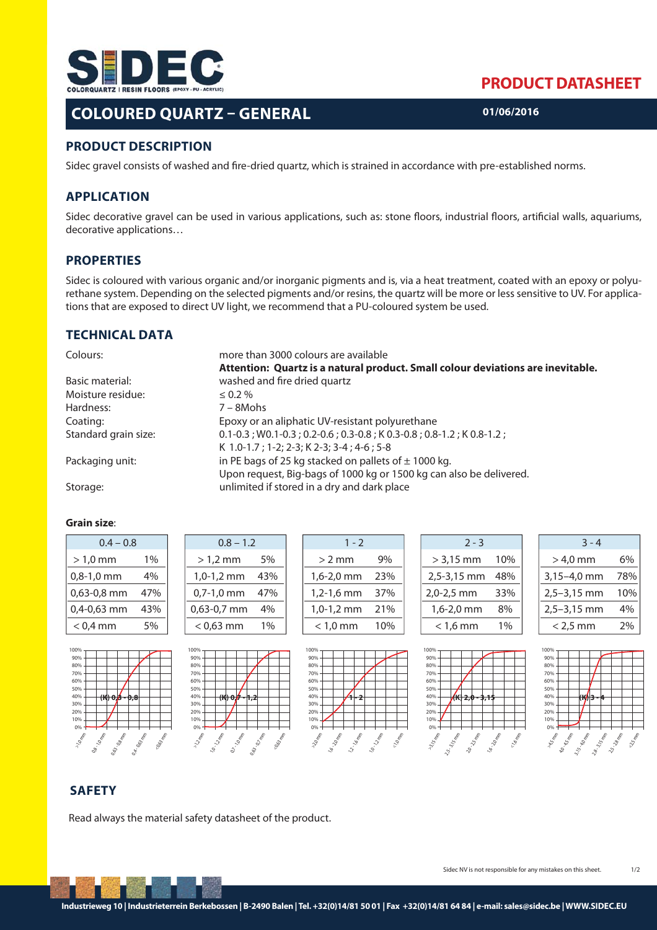

## **COLOURED QUARTZ – GENERAL**

## **PRODUCT DATASHEET**

**01/06/2016**

### **PRODUCT DESCRIPTION**

Sidec gravel consists of washed and fire-dried quartz, which is strained in accordance with pre-established norms.

### **APPLICATION**

Sidec decorative gravel can be used in various applications, such as: stone floors, industrial floors, artificial walls, aquariums, decorative applications…

### **PROPERTIES**

Sidec is coloured with various organic and/or inorganic pigments and is, via a heat treatment, coated with an epoxy or polyurethane system. Depending on the selected pigments and/or resins, the quartz will be more or less sensitive to UV. For applications that are exposed to direct UV light, we recommend that a PU-coloured system be used.

### **TECHNICAL DATA**

| Colours:             | more than 3000 colours are available                                            |
|----------------------|---------------------------------------------------------------------------------|
|                      | Attention: Quartz is a natural product. Small colour deviations are inevitable. |
| Basic material:      | washed and fire dried quartz                                                    |
| Moisture residue:    | $\leq 0.2 \%$                                                                   |
| Hardness:            | $7 - 8$ Mohs                                                                    |
| Coating:             | Epoxy or an aliphatic UV-resistant polyurethane                                 |
| Standard grain size: | $0.1 - 0.3$ ; W0.1-0.3; 0.2-0.6; 0.3-0.8; K0.3-0.8; 0.8-1.2; K0.8-1.2;          |
|                      | K 1.0-1.7; 1-2; 2-3; K 2-3; 3-4; 4-6; 5-8                                       |
| Packaging unit:      | in PE bags of 25 kg stacked on pallets of $\pm$ 1000 kg.                        |
|                      | Upon request, Big-bags of 1000 kg or 1500 kg can also be delivered.             |
| Storage:             | unlimited if stored in a dry and dark place                                     |

### **Grain size**:

| $0.4 - 0.8$ |     |  |  |  |
|-------------|-----|--|--|--|
| > 1,0 mm    | 1%  |  |  |  |
| 0,8-1,0 mm  | 4%  |  |  |  |
| 0,63-0,8 mm | 47% |  |  |  |
| 0,4-0,63 mm | 43% |  |  |  |
| $<$ 0,4 mm  | 5%  |  |  |  |





| $1 - 2$         |     |  |  |  |
|-----------------|-----|--|--|--|
| $>$ 2 mm        | 9%  |  |  |  |
| 1,6-2,0 mm      | 23% |  |  |  |
| 1,2-1,6 mm      | 37% |  |  |  |
| 1,0-1,2 mm      | 21% |  |  |  |
| $<$ 1,0 mm $\,$ | 10% |  |  |  |

**17.0 mm** 

| $2 - 3$     |     |
|-------------|-----|
| $> 3,15$ mm | 10% |
| 2,5-3,15 mm | 48% |
| 2,0-2,5 mm  | 33% |
| 1,6-2,0 mm  | 8%  |
| $<$ 1,6 mm  | 1%  |

| $3 - 4$       |            |
|---------------|------------|
| > 4,0 mm      | 6%         |
| 3,15-4,0 mm   | <b>78%</b> |
| $2,5-3,15$ mm | 10%        |
| $2,5-3,15$ mm | 4%         |
| $<$ 2.5 mm    |            |







## **SAFETY**

Read always the material safety datasheet of the product.

**112 mm** 120 Million 0.7.10 mm 0.63.02 MM

100% 90% 80% 70% 60% 50% 40% 30% 20% 10% 0%